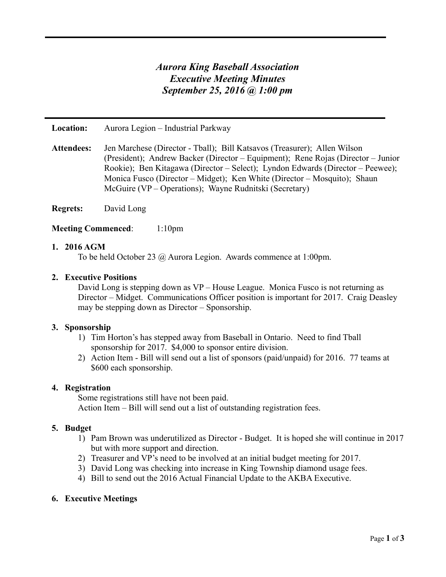# *Aurora King Baseball Association Executive Meeting Minutes September 25, 2016 @ 1:00 pm*

**Location:** Aurora Legion – Industrial Parkway

**Attendees:** Jen Marchese (Director - Tball); Bill Katsavos (Treasurer); Allen Wilson (President); Andrew Backer (Director – Equipment); Rene Rojas (Director – Junior Rookie); Ben Kitagawa (Director – Select); Lyndon Edwards (Director – Peewee); Monica Fusco (Director – Midget); Ken White (Director – Mosquito); Shaun McGuire (VP – Operations); Wayne Rudnitski (Secretary)

**Regrets:** David Long

#### **Meeting Commenced:** 1:10pm

#### **1. 2016 AGM**

To be held October 23 @ Aurora Legion. Awards commence at 1:00pm.

#### **2. Executive Positions**

David Long is stepping down as VP – House League. Monica Fusco is not returning as Director – Midget. Communications Officer position is important for 2017. Craig Deasley may be stepping down as Director – Sponsorship.

#### **3. Sponsorship**

- 1) Tim Horton's has stepped away from Baseball in Ontario. Need to find Tball sponsorship for 2017. \$4,000 to sponsor entire division.
- 2) Action Item Bill will send out a list of sponsors (paid/unpaid) for 2016. 77 teams at \$600 each sponsorship.

#### **4. Registration**

Some registrations still have not been paid.

Action Item – Bill will send out a list of outstanding registration fees.

#### **5. Budget**

- 1) Pam Brown was underutilized as Director Budget. It is hoped she will continue in 2017 but with more support and direction.
- 2) Treasurer and VP's need to be involved at an initial budget meeting for 2017.
- 3) David Long was checking into increase in King Township diamond usage fees.
- 4) Bill to send out the 2016 Actual Financial Update to the AKBA Executive.

# **6. Executive Meetings**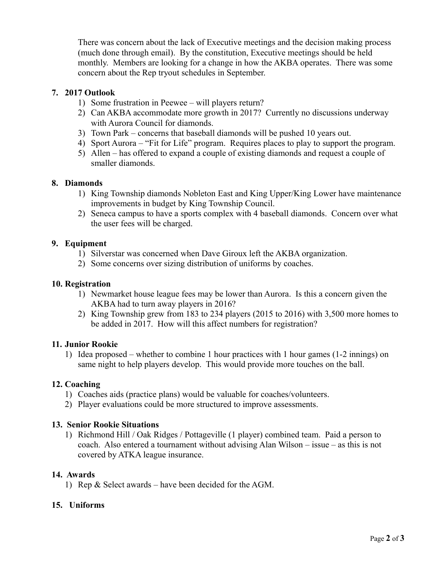There was concern about the lack of Executive meetings and the decision making process (much done through email). By the constitution, Executive meetings should be held monthly. Members are looking for a change in how the AKBA operates. There was some concern about the Rep tryout schedules in September.

# **7. 2017 Outlook**

- 1) Some frustration in Peewee will players return?
- 2) Can AKBA accommodate more growth in 2017? Currently no discussions underway with Aurora Council for diamonds.
- 3) Town Park concerns that baseball diamonds will be pushed 10 years out.
- 4) Sport Aurora "Fit for Life" program. Requires places to play to support the program.
- 5) Allen has offered to expand a couple of existing diamonds and request a couple of smaller diamonds.

#### **8. Diamonds**

- 1) King Township diamonds Nobleton East and King Upper/King Lower have maintenance improvements in budget by King Township Council.
- 2) Seneca campus to have a sports complex with 4 baseball diamonds. Concern over what the user fees will be charged.

#### **9. Equipment**

- 1) Silverstar was concerned when Dave Giroux left the AKBA organization.
- 2) Some concerns over sizing distribution of uniforms by coaches.

#### **10. Registration**

- 1) Newmarket house league fees may be lower than Aurora. Is this a concern given the AKBA had to turn away players in 2016?
- 2) King Township grew from 183 to 234 players (2015 to 2016) with 3,500 more homes to be added in 2017. How will this affect numbers for registration?

#### **11. Junior Rookie**

1) Idea proposed – whether to combine 1 hour practices with 1 hour games (1-2 innings) on same night to help players develop. This would provide more touches on the ball.

# **12. Coaching**

- 1) Coaches aids (practice plans) would be valuable for coaches/volunteers.
- 2) Player evaluations could be more structured to improve assessments.

# **13. Senior Rookie Situations**

1) Richmond Hill / Oak Ridges / Pottageville (1 player) combined team. Paid a person to coach. Also entered a tournament without advising Alan Wilson – issue – as this is not covered by ATKA league insurance.

# **14. Awards**

1) Rep & Select awards – have been decided for the AGM.

# **15. Uniforms**